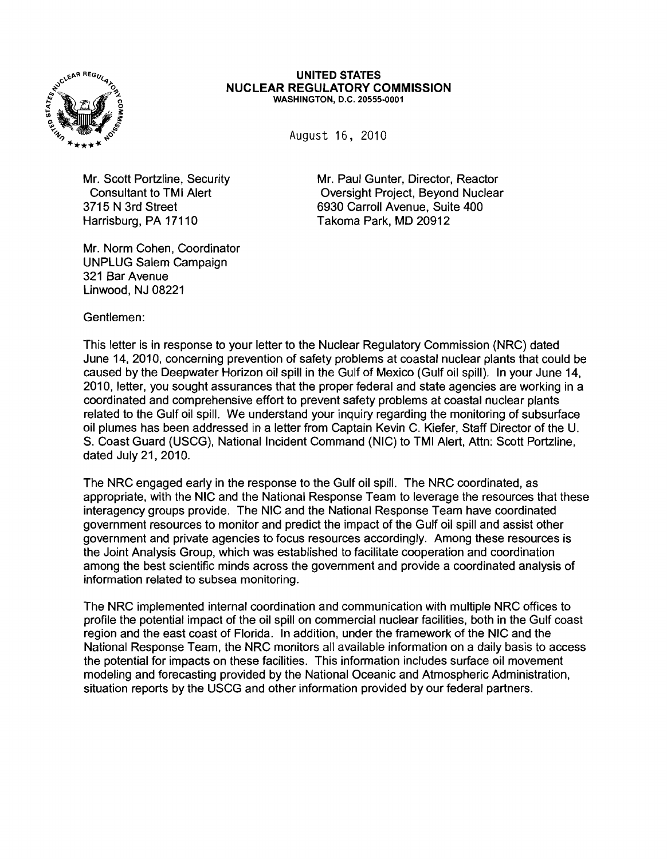

## UNITED STATES NUCLEAR REGULATORY COMMISSION WASHINGTON, D.C. 20555-0001

August 16, 2010

Harrisburg, PA 17110 Takoma Park, MD 20912

Mr. Norm Cohen, Coordinator UNPLUG Salem Campaign 321 Bar Avenue Linwood, NJ 08221

Mr. Scott Portzline, Security Mr. Paul Gunter, Director, Reactor Consultant to TMI Alert Consultant Consultant Oversight Project, Beyond Nuclear 3715 N 3rd Street 6930 Carroll Avenue, Suite 400

Gentlemen:

This letter is in response to your letter to the Nuclear Regulatory Commission (NRC) dated June 14, 2010, concerning prevention of safety problems at coastal nuclear plants that could be caused by the Deepwater Horizon oil spill in the Gulf of Mexico (Gulf oil spill). In your June 14, 2010, letter, you sought assurances that the proper federal and state agencies are working in a coordinated and comprehensive effort to prevent safety problems at coastal nuclear plants related to the Gulf oil spill. We understand your inquiry regarding the monitoring of subsurface oil plumes has been addressed in a letter from Captain Kevin C. Kiefer, Staff Director of the U. S. Coast Guard (USCG), National Incident Command (NIC) to TMI Alert, Attn: Scott Portzline, dated July 21,2010.

The NRC engaged early in the response to the Gulf oil spill. The NRC coordinated, as appropriate, with the NIC and the National Response Team to leverage the resources that these interagency groups provide. The NIC and the National Response Team have coordinated government resources to monitor and predict the impact of the Gulf oil spill and assist other government and private agencies to focus resources accordingly. Among these resources is the Joint Analysis Group, which was established to facilitate cooperation and coordination among the best scientific minds across the government and provide a coordinated analysis of information related to subsea monitoring.

The NRC implemented internal coordination and communication with multiple NRC offices to profile the potential impact of the oil spill on commercial nuclear facilities, both in the Gulf coast region and the east coast of Florida. In addition, under the framework of the NIC and the National Response Team, the NRC monitors all available information on a daily basis to access the potential for impacts on these facilities. This information includes surface oil movement modeling and forecasting provided by the National Oceanic and Atmospheric Administration, situation reports by the USCG and other information provided by our federal partners.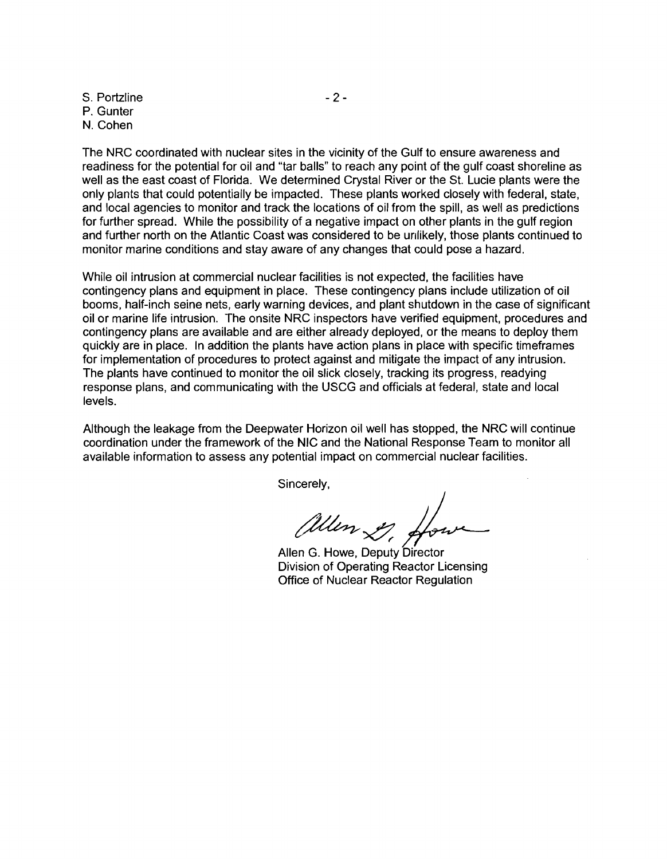S. Portzline - 2 -P. Gunter N. Cohen

The NRC coordinated with nuclear sites in the vicinity of the Gulf to ensure awareness and readiness for the potential for oil and "tar balls" to reach any point of the gulf coast shoreline as well as the east coast of Florida. We determined Crystal River or the St. Lucie plants were the only plants that could potentially be impacted. These plants worked closely with federal, state, and local agencies to monitor and track the locations of oil from the spill, as well as predictions for further spread. While the possibility of a negative impact on other plants in the gulf region and further north on the Atlantic Coast was considered to be unlikely, those plants continued to monitor marine conditions and stay aware of any changes that could pose a hazard.

While oil intrusion at commercial nuclear facilities is not expected, the facilities have contingency plans and equipment in place. These contingency plans include utilization of oil booms, half-inch seine nets, early warning devices, and plant shutdown in the case of significant oil or marine life intrusion. The onsite NRC inspectors have verified equipment, procedures and contingency plans are available and are either already deployed, or the means to deploy them quickly are in place. In addition the plants have action plans in place with specific timeframes for implementation of procedures to protect against and mitigate the impact of any intrusion. The plants have continued to monitor the oil slick closely, tracking its progress, readying response plans, and communicating with the USCG and officials at federal, state and local levels.

Although the leakage from the Deepwater Horizon oil well has stopped, the NRC will continue coordination under the framework of the NIC and the National Response Team to monitor all available information to assess any potential impact on commercial nuclear facilities.

Sincerely,

allen 2, for

Allen G. Howe, Deputy Director Division of Operating Reactor Licensing Office of Nuclear Reactor Regulation